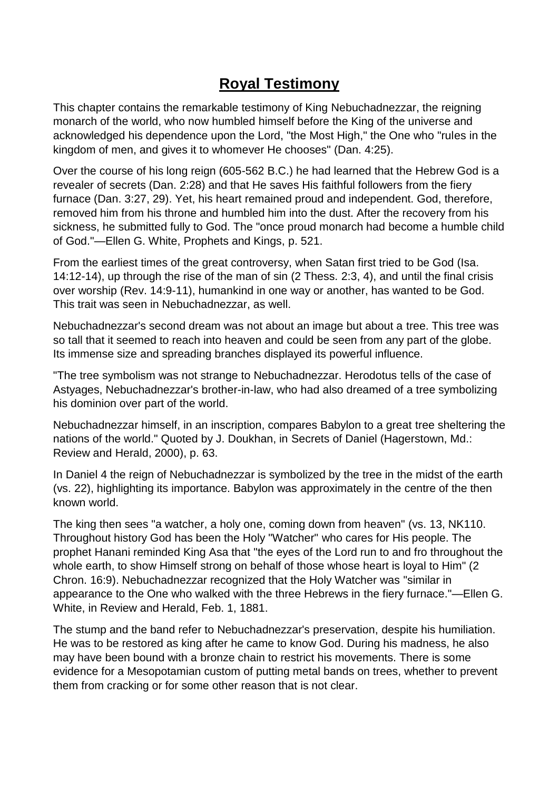# **Royal Testimony**

This chapter contains the remarkable testimony of King Nebuchadnezzar, the reigning monarch of the world, who now humbled himself before the King of the universe and acknowledged his dependence upon the Lord, "the Most High," the One who "rules in the kingdom of men, and gives it to whomever He chooses" (Dan. 4:25).

Over the course of his long reign (605-562 B.C.) he had learned that the Hebrew God is a revealer of secrets (Dan. 2:28) and that He saves His faithful followers from the fiery furnace (Dan. 3:27, 29). Yet, his heart remained proud and independent. God, therefore, removed him from his throne and humbled him into the dust. After the recovery from his sickness, he submitted fully to God. The "once proud monarch had become a humble child of God."—Ellen G. White, Prophets and Kings, p. 521.

From the earliest times of the great controversy, when Satan first tried to be God (Isa. 14:12-14), up through the rise of the man of sin (2 Thess. 2:3, 4), and until the final crisis over worship (Rev. 14:9-11), humankind in one way or another, has wanted to be God. This trait was seen in Nebuchadnezzar, as well.

Nebuchadnezzar's second dream was not about an image but about a tree. This tree was so tall that it seemed to reach into heaven and could be seen from any part of the globe. Its immense size and spreading branches displayed its powerful influence.

"The tree symbolism was not strange to Nebuchadnezzar. Herodotus tells of the case of Astyages, Nebuchadnezzar's brother-in-law, who had also dreamed of a tree symbolizing his dominion over part of the world.

Nebuchadnezzar himself, in an inscription, compares Babylon to a great tree sheltering the nations of the world." Quoted by J. Doukhan, in Secrets of Daniel (Hagerstown, Md.: Review and Herald, 2000), p. 63.

In Daniel 4 the reign of Nebuchadnezzar is symbolized by the tree in the midst of the earth (vs. 22), highlighting its importance. Babylon was approximately in the centre of the then known world.

The king then sees "a watcher, a holy one, coming down from heaven" (vs. 13, NK110. Throughout history God has been the Holy "Watcher" who cares for His people. The prophet Hanani reminded King Asa that "the eyes of the Lord run to and fro throughout the whole earth, to show Himself strong on behalf of those whose heart is loyal to Him" (2 Chron. 16:9). Nebuchadnezzar recognized that the Holy Watcher was "similar in appearance to the One who walked with the three Hebrews in the fiery furnace."—Ellen G. White, in Review and Herald, Feb. 1, 1881.

The stump and the band refer to Nebuchadnezzar's preservation, despite his humiliation. He was to be restored as king after he came to know God. During his madness, he also may have been bound with a bronze chain to restrict his movements. There is some evidence for a Mesopotamian custom of putting metal bands on trees, whether to prevent them from cracking or for some other reason that is not clear.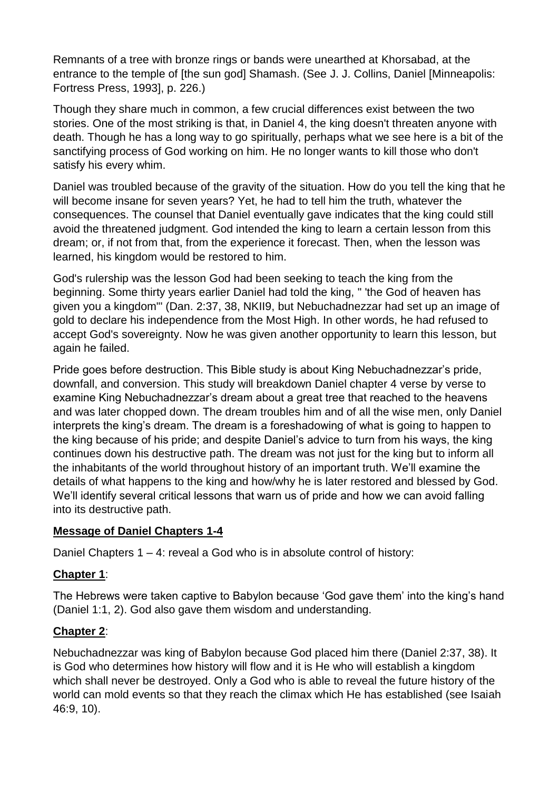Remnants of a tree with bronze rings or bands were unearthed at Khorsabad, at the entrance to the temple of [the sun god] Shamash. (See J. J. Collins, Daniel [Minneapolis: Fortress Press, 1993], p. 226.)

Though they share much in common, a few crucial differences exist between the two stories. One of the most striking is that, in Daniel 4, the king doesn't threaten anyone with death. Though he has a long way to go spiritually, perhaps what we see here is a bit of the sanctifying process of God working on him. He no longer wants to kill those who don't satisfy his every whim.

Daniel was troubled because of the gravity of the situation. How do you tell the king that he will become insane for seven years? Yet, he had to tell him the truth, whatever the consequences. The counsel that Daniel eventually gave indicates that the king could still avoid the threatened judgment. God intended the king to learn a certain lesson from this dream; or, if not from that, from the experience it forecast. Then, when the lesson was learned, his kingdom would be restored to him.

God's rulership was the lesson God had been seeking to teach the king from the beginning. Some thirty years earlier Daniel had told the king, " 'the God of heaven has given you a kingdom"' (Dan. 2:37, 38, NKII9, but Nebuchadnezzar had set up an image of gold to declare his independence from the Most High. In other words, he had refused to accept God's sovereignty. Now he was given another opportunity to learn this lesson, but again he failed.

Pride goes before destruction. This Bible study is about King Nebuchadnezzar's pride, downfall, and conversion. This study will breakdown Daniel chapter 4 verse by verse to examine King Nebuchadnezzar's dream about a great tree that reached to the heavens and was later chopped down. The dream troubles him and of all the wise men, only Daniel interprets the king's dream. The dream is a foreshadowing of what is going to happen to the king because of his pride; and despite Daniel's advice to turn from his ways, the king continues down his destructive path. The dream was not just for the king but to inform all the inhabitants of the world throughout history of an important truth. We'll examine the details of what happens to the king and how/why he is later restored and blessed by God. We'll identify several critical lessons that warn us of pride and how we can avoid falling into its destructive path.

# **Message of Daniel Chapters 1-4**

Daniel Chapters 1 – 4: reveal a God who is in absolute control of history:

# **Chapter 1**:

The Hebrews were taken captive to Babylon because 'God gave them' into the king's hand (Daniel 1:1, 2). God also gave them wisdom and understanding.

# **Chapter 2**:

Nebuchadnezzar was king of Babylon because God placed him there (Daniel 2:37, 38). It is God who determines how history will flow and it is He who will establish a kingdom which shall never be destroyed. Only a God who is able to reveal the future history of the world can mold events so that they reach the climax which He has established (see Isaiah 46:9, 10).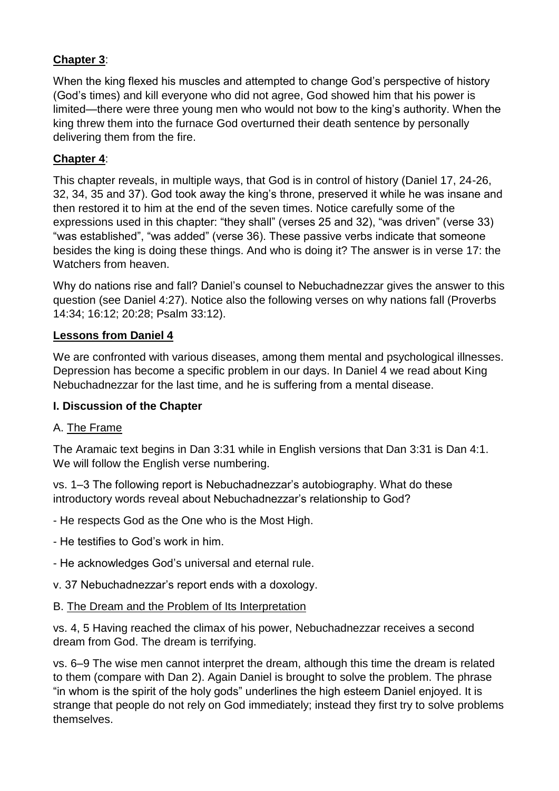# **Chapter 3**:

When the king flexed his muscles and attempted to change God's perspective of history (God's times) and kill everyone who did not agree, God showed him that his power is limited—there were three young men who would not bow to the king's authority. When the king threw them into the furnace God overturned their death sentence by personally delivering them from the fire.

## **Chapter 4**:

This chapter reveals, in multiple ways, that God is in control of history (Daniel 17, 24-26, 32, 34, 35 and 37). God took away the king's throne, preserved it while he was insane and then restored it to him at the end of the seven times. Notice carefully some of the expressions used in this chapter: "they shall" (verses 25 and 32), "was driven" (verse 33) "was established", "was added" (verse 36). These passive verbs indicate that someone besides the king is doing these things. And who is doing it? The answer is in verse 17: the Watchers from heaven.

Why do nations rise and fall? Daniel's counsel to Nebuchadnezzar gives the answer to this question (see Daniel 4:27). Notice also the following verses on why nations fall (Proverbs 14:34; 16:12; 20:28; Psalm 33:12).

## **Lessons from Daniel 4**

We are confronted with various diseases, among them mental and psychological illnesses. Depression has become a specific problem in our days. In Daniel 4 we read about King Nebuchadnezzar for the last time, and he is suffering from a mental disease.

## **I. Discussion of the Chapter**

## A. The Frame

The Aramaic text begins in Dan 3:31 while in English versions that Dan 3:31 is Dan 4:1. We will follow the English verse numbering.

vs. 1–3 The following report is Nebuchadnezzar's autobiography. What do these introductory words reveal about Nebuchadnezzar's relationship to God?

- He respects God as the One who is the Most High.

- He testifies to God's work in him.
- He acknowledges God's universal and eternal rule.
- v. 37 Nebuchadnezzar's report ends with a doxology.

## B. The Dream and the Problem of Its Interpretation

vs. 4, 5 Having reached the climax of his power, Nebuchadnezzar receives a second dream from God. The dream is terrifying.

vs. 6–9 The wise men cannot interpret the dream, although this time the dream is related to them (compare with Dan 2). Again Daniel is brought to solve the problem. The phrase "in whom is the spirit of the holy gods" underlines the high esteem Daniel enjoyed. It is strange that people do not rely on God immediately; instead they first try to solve problems themselves.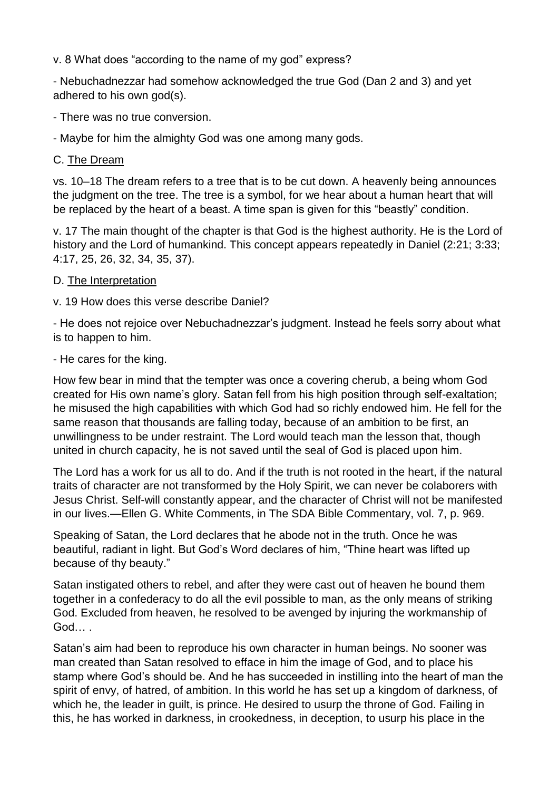v. 8 What does "according to the name of my god" express?

- Nebuchadnezzar had somehow acknowledged the true God (Dan 2 and 3) and yet adhered to his own god(s).

- There was no true conversion.

- Maybe for him the almighty God was one among many gods.

#### C. The Dream

vs. 10–18 The dream refers to a tree that is to be cut down. A heavenly being announces the judgment on the tree. The tree is a symbol, for we hear about a human heart that will be replaced by the heart of a beast. A time span is given for this "beastly" condition.

v. 17 The main thought of the chapter is that God is the highest authority. He is the Lord of history and the Lord of humankind. This concept appears repeatedly in Daniel (2:21; 3:33; 4:17, 25, 26, 32, 34, 35, 37).

#### D. The Interpretation

v. 19 How does this verse describe Daniel?

- He does not rejoice over Nebuchadnezzar's judgment. Instead he feels sorry about what is to happen to him.

#### - He cares for the king.

How few bear in mind that the tempter was once a covering cherub, a being whom God created for His own name's glory. Satan fell from his high position through self-exaltation; he misused the high capabilities with which God had so richly endowed him. He fell for the same reason that thousands are falling today, because of an ambition to be first, an unwillingness to be under restraint. The Lord would teach man the lesson that, though united in church capacity, he is not saved until the seal of God is placed upon him.

The Lord has a work for us all to do. And if the truth is not rooted in the heart, if the natural traits of character are not transformed by the Holy Spirit, we can never be colaborers with Jesus Christ. Self-will constantly appear, and the character of Christ will not be manifested in our lives.—Ellen G. White Comments, in The SDA Bible Commentary, vol. 7, p. 969.

Speaking of Satan, the Lord declares that he abode not in the truth. Once he was beautiful, radiant in light. But God's Word declares of him, "Thine heart was lifted up because of thy beauty."

Satan instigated others to rebel, and after they were cast out of heaven he bound them together in a confederacy to do all the evil possible to man, as the only means of striking God. Excluded from heaven, he resolved to be avenged by injuring the workmanship of God… .

Satan's aim had been to reproduce his own character in human beings. No sooner was man created than Satan resolved to efface in him the image of God, and to place his stamp where God's should be. And he has succeeded in instilling into the heart of man the spirit of envy, of hatred, of ambition. In this world he has set up a kingdom of darkness, of which he, the leader in guilt, is prince. He desired to usurp the throne of God. Failing in this, he has worked in darkness, in crookedness, in deception, to usurp his place in the